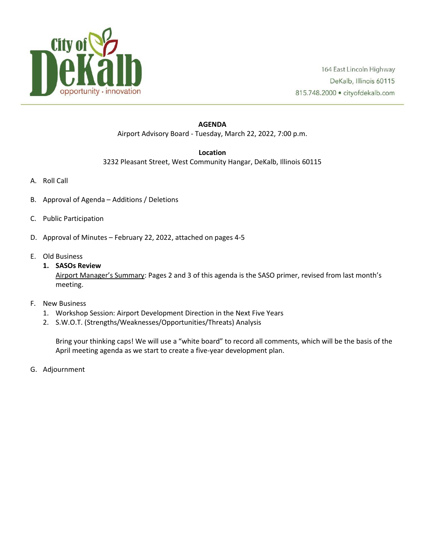

#### **AGENDA** Airport Advisory Board - Tuesday, March 22, 2022, 7:00 p.m.

#### **Location**

3232 Pleasant Street, West Community Hangar, DeKalb, Illinois 60115

- A. Roll Call
- B. Approval of Agenda Additions / Deletions
- C. Public Participation
- D. Approval of Minutes February 22, 2022, attached on pages 4-5
- E. Old Business
	- **1. SASOs Review**

Airport Manager's Summary: Pages 2 and 3 of this agenda is the SASO primer, revised from last month's meeting.

- F. New Business
	- 1. Workshop Session: Airport Development Direction in the Next Five Years
	- 2. S.W.O.T. (Strengths/Weaknesses/Opportunities/Threats) Analysis

Bring your thinking caps! We will use a "white board" to record all comments, which will be the basis of the April meeting agenda as we start to create a five-year development plan.

G. Adjournment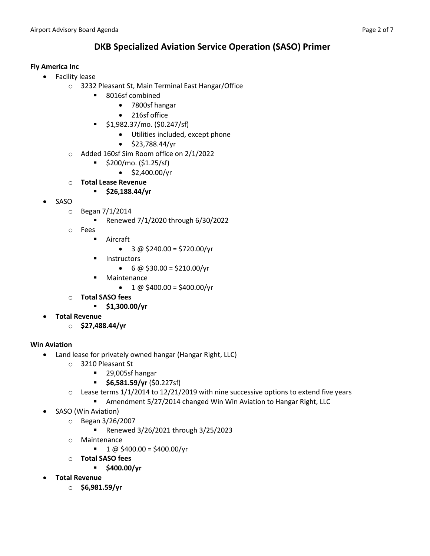# **DKB Specialized Aviation Service Operation (SASO) Primer**

# **Fly America Inc**

- Facility lease
	- o 3232 Pleasant St, Main Terminal East Hangar/Office
		- 8016sf combined
			- 7800sf hangar
			- 216sf office
		- \$1,982.37/mo. (\$0.247/sf)
			- Utilities included, except phone
			- \$23,788.44/yr
	- o Added 160sf Sim Room office on 2/1/2022
		- \$200/mo. (\$1.25/sf)
			- $\bullet$  \$2,400.00/yr
	- o **Total Lease Revenue**
		- **\$26,188.44/yr**
- SASO
	- o Began 7/1/2014
		- Renewed 7/1/2020 through 6/30/2022
	- o Fees
		- Aircraft
			- $3 \omega$  \$240.00 = \$720.00/yr
		- Instructors
			- $6 \omega$  \$30.00 = \$210.00/yr
		- Maintenance
			- $1 \text{ @ } $400.00 = $400.00/\text{yr}$
	- o **Total SASO fees**
		- **\$1,300.00/yr**
- **Total Revenue**
	- o **\$27,488.44/yr**

# **Win Aviation**

- Land lease for privately owned hangar (Hangar Right, LLC)
	- o 3210 Pleasant St
		- 29,005sf hangar
		- **\$6,581.59/yr** (\$0.227sf)
	- $\circ$  Lease terms 1/1/2014 to 12/21/2019 with nine successive options to extend five years
		- Amendment 5/27/2014 changed Win Win Aviation to Hangar Right, LLC
- SASO (Win Aviation)
	- o Began 3/26/2007
		- Renewed 3/26/2021 through 3/25/2023
	- o Maintenance
		- $\blacksquare$  1 @ \$400.00 = \$400.00/yr
	- o **Total SASO fees**
		- **\$400.00/yr**
- **Total Revenue**
	- o **\$6,981.59/yr**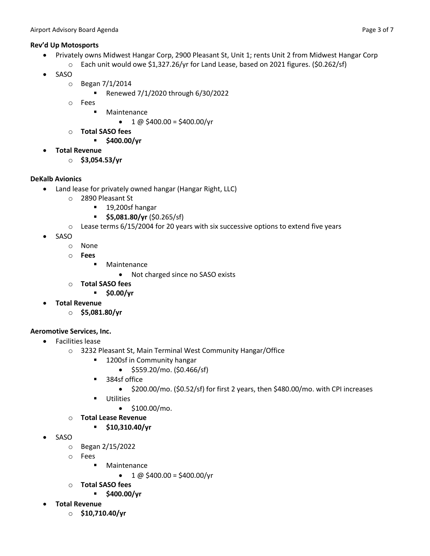## **Rev'd Up Motosports**

- Privately owns Midwest Hangar Corp, 2900 Pleasant St, Unit 1; rents Unit 2 from Midwest Hangar Corp
	- $\circ$  Each unit would owe \$1,327.26/yr for Land Lease, based on 2021 figures. (\$0.262/sf)
- SASO
	- o Began 7/1/2014
		- Renewed 7/1/2020 through 6/30/2022
	- o Fees
		- Maintenance
			- $\bullet$  1 @ \$400.00 = \$400.00/yr
	- o **Total SASO fees**
		- **\$400.00/yr**
- **Total Revenue**
	- o **\$3,054.53/yr**

# **DeKalb Avionics**

- Land lease for privately owned hangar (Hangar Right, LLC)
	- o 2890 Pleasant St
		- 19,200sf hangar
		- **\$5,081.80/yr** (\$0.265/sf)
	- $\circ$  Lease terms 6/15/2004 for 20 years with six successive options to extend five years
- SASO
	- o None
	- o **Fees**
		- Maintenance
			- Not charged since no SASO exists
	- o **Total SASO fees**
		- **\$0.00/yr**
- **Total Revenue**
	- o **\$5,081.80/yr**

# **Aeromotive Services, Inc.**

- Facilities lease
	- o 3232 Pleasant St, Main Terminal West Community Hangar/Office
		- 1200sf in Community hangar
			- \$559.20/mo. (\$0.466/sf)
		- 384sf office
			- \$200.00/mo. (\$0.52/sf) for first 2 years, then \$480.00/mo. with CPI increases
		- Utilities
			- \$100.00/mo.
	- o **Total Lease Revenue**
		- **\$10,310.40/yr**
- SASO
	- o Began 2/15/2022
	- o Fees
		- Maintenance
			- $1 \text{ @ } $400.00 = $400.00/\text{yr}$
	- o **Total SASO fees**
		- **\$400.00/yr**
- **Total Revenue**
	- o **\$10,710.40/yr**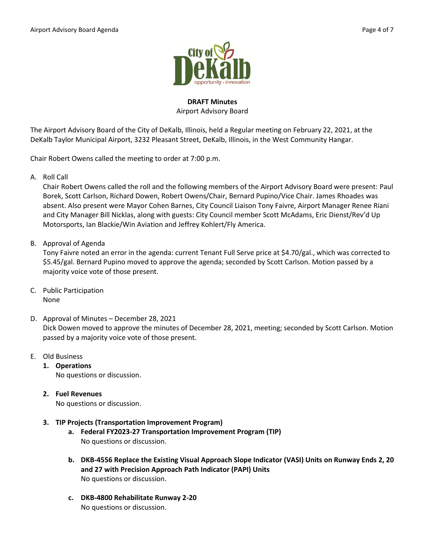

## **DRAFT Minutes** Airport Advisory Board

The Airport Advisory Board of the City of DeKalb, Illinois, held a Regular meeting on February 22, 2021, at the DeKalb Taylor Municipal Airport, 3232 Pleasant Street, DeKalb, Illinois, in the West Community Hangar.

Chair Robert Owens called the meeting to order at 7:00 p.m.

A. Roll Call

Chair Robert Owens called the roll and the following members of the Airport Advisory Board were present: Paul Borek, Scott Carlson, Richard Dowen, Robert Owens/Chair, Bernard Pupino/Vice Chair. James Rhoades was absent. Also present were Mayor Cohen Barnes, City Council Liaison Tony Faivre, Airport Manager Renee Riani and City Manager Bill Nicklas, along with guests: City Council member Scott McAdams, Eric Dienst/Rev'd Up Motorsports, Ian Blackie/Win Aviation and Jeffrey Kohlert/Fly America.

B. Approval of Agenda

Tony Faivre noted an error in the agenda: current Tenant Full Serve price at \$4.70/gal., which was corrected to \$5.45/gal. Bernard Pupino moved to approve the agenda; seconded by Scott Carlson. Motion passed by a majority voice vote of those present.

- C. Public Participation None
- D. Approval of Minutes December 28, 2021 Dick Dowen moved to approve the minutes of December 28, 2021, meeting; seconded by Scott Carlson. Motion passed by a majority voice vote of those present.
- E. Old Business
	- **1. Operations**  No questions or discussion.
	- **2. Fuel Revenues** No questions or discussion.
	- **3. TIP Projects (Transportation Improvement Program)**
		- **a. Federal FY2023-27 Transportation Improvement Program (TIP)** No questions or discussion.
		- **b. DKB-4556 Replace the Existing Visual Approach Slope Indicator (VASI) Units on Runway Ends 2, 20 and 27 with Precision Approach Path Indicator (PAPI) Units** No questions or discussion.
		- **c. DKB-4800 Rehabilitate Runway 2-20** No questions or discussion.